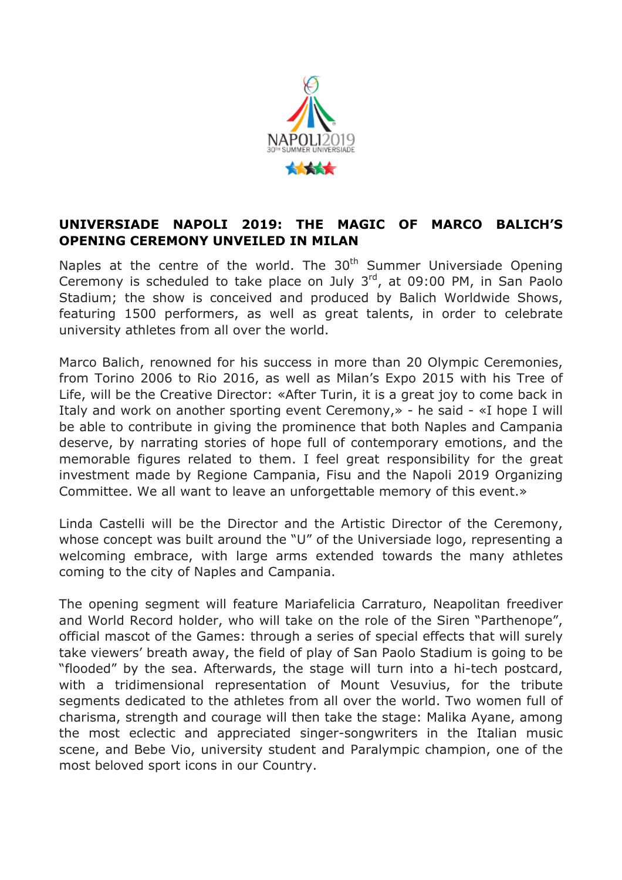

## **UNIVERSIADE NAPOLI 2019: THE MAGIC OF MARCO BALICH'S OPENING CEREMONY UNVEILED IN MILAN**

Naples at the centre of the world. The  $30<sup>th</sup>$  Summer Universiade Opening Ceremony is scheduled to take place on July  $3^{rd}$ , at 09:00 PM, in San Paolo Stadium; the show is conceived and produced by Balich Worldwide Shows, featuring 1500 performers, as well as great talents, in order to celebrate university athletes from all over the world.

Marco Balich, renowned for his success in more than 20 Olympic Ceremonies, from Torino 2006 to Rio 2016, as well as Milan's Expo 2015 with his Tree of Life, will be the Creative Director: «After Turin, it is a great joy to come back in Italy and work on another sporting event Ceremony,» - he said - «I hope I will be able to contribute in giving the prominence that both Naples and Campania deserve, by narrating stories of hope full of contemporary emotions, and the memorable figures related to them. I feel great responsibility for the great investment made by Regione Campania, Fisu and the Napoli 2019 Organizing Committee. We all want to leave an unforgettable memory of this event.»

Linda Castelli will be the Director and the Artistic Director of the Ceremony, whose concept was built around the "U" of the Universiade logo, representing a welcoming embrace, with large arms extended towards the many athletes coming to the city of Naples and Campania.

The opening segment will feature Mariafelicia Carraturo, Neapolitan freediver and World Record holder, who will take on the role of the Siren "Parthenope", official mascot of the Games: through a series of special effects that will surely take viewers' breath away, the field of play of San Paolo Stadium is going to be "flooded" by the sea. Afterwards, the stage will turn into a hi-tech postcard, with a tridimensional representation of Mount Vesuvius, for the tribute segments dedicated to the athletes from all over the world. Two women full of charisma, strength and courage will then take the stage: Malika Ayane, among the most eclectic and appreciated singer-songwriters in the Italian music scene, and Bebe Vio, university student and Paralympic champion, one of the most beloved sport icons in our Country.